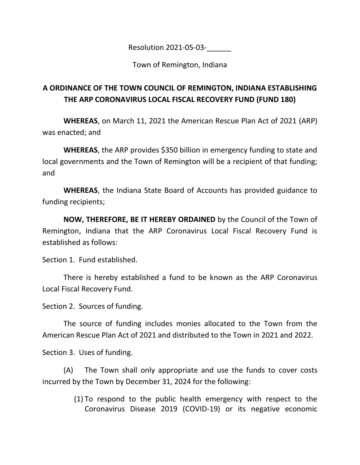Resolution 2021-05-03-\_\_\_\_\_\_

Town of Remington, Indiana

## **A ORDINANCE OF THE TOWN COUNCIL OF REMINGTON, INDIANA ESTABLISHING THE ARP CORONAVIRUS LOCAL FISCAL RECOVERY FUND (FUND 180)**

**WHEREAS**, on March 11, 2021 the American Rescue Plan Act of 2021 (ARP) was enacted; and

**WHEREAS**, the ARP provides \$350 billion in emergency funding to state and local governments and the Town of Remington will be a recipient of that funding; and

**WHEREAS**, the Indiana State Board of Accounts has provided guidance to funding recipients;

**NOW, THEREFORE, BE IT HEREBY ORDAINED** by the Council of the Town of Remington, Indiana that the ARP Coronavirus Local Fiscal Recovery Fund is established as follows:

Section 1. Fund established.

There is hereby established a fund to be known as the ARP Coronavirus Local Fiscal Recovery Fund.

Section 2. Sources of funding.

The source of funding includes monies allocated to the Town from the American Rescue Plan Act of 2021 and distributed to the Town in 2021 and 2022.

Section 3. Uses of funding.

(A) The Town shall only appropriate and use the funds to cover costs incurred by the Town by December 31, 2024 for the following:

> (1) To respond to the public health emergency with respect to the Coronavirus Disease 2019 (COVID-19) or its negative economic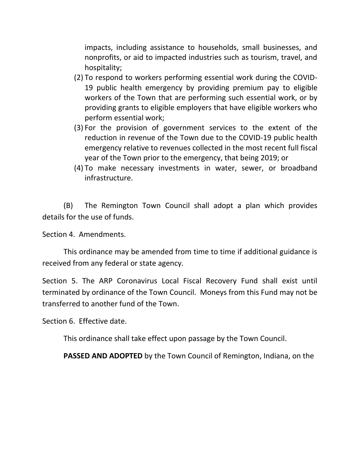impacts, including assistance to households, small businesses, and nonprofits, or aid to impacted industries such as tourism, travel, and hospitality;

- (2) To respond to workers performing essential work during the COVID-19 public health emergency by providing premium pay to eligible workers of the Town that are performing such essential work, or by providing grants to eligible employers that have eligible workers who perform essential work;
- (3) For the provision of government services to the extent of the reduction in revenue of the Town due to the COVID-19 public health emergency relative to revenues collected in the most recent full fiscal year of the Town prior to the emergency, that being 2019; or
- (4) To make necessary investments in water, sewer, or broadband infrastructure.

(B) The Remington Town Council shall adopt a plan which provides details for the use of funds.

Section 4. Amendments.

This ordinance may be amended from time to time if additional guidance is received from any federal or state agency.

Section 5. The ARP Coronavirus Local Fiscal Recovery Fund shall exist until terminated by ordinance of the Town Council. Moneys from this Fund may not be transferred to another fund of the Town.

Section 6. Effective date.

This ordinance shall take effect upon passage by the Town Council.

**PASSED AND ADOPTED** by the Town Council of Remington, Indiana, on the